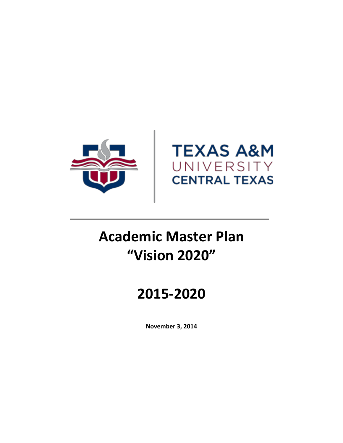



# **Academic Master Plan "Vision 2020"**

## **2015-2020**

**November 3, 2014**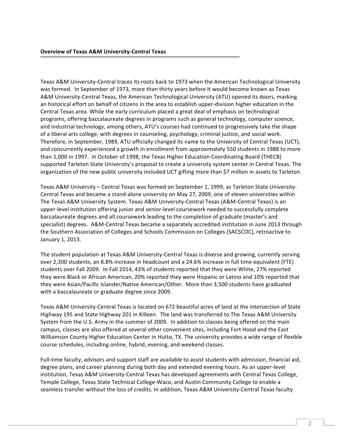Texas A&M University-Central traces its roots back to 1973 when the American Technological University was formed. In September of 1973, more than thirty years before it would become known as Texas A&M University-Central Texas, the American Technological University (ATU) opened its doors, marking an historical effort on behalf of citizens in the area to establish upper-division higher education in the Central Texas area. While the early curriculum placed a great deal of emphasis on technological programs, offering baccalaureate degrees in programs such as general technology, computer science, and industrial technology, among others, ATU's courses had continued to progressively take the shape of a liberal arts college, with degrees in counseling, psychology, criminal justice, and social work. Therefore, in September, 1989, ATU officially changed its name to the University of Central Texas (UCT), and concurrently experienced a growth in enrollment from approximately 550 students in 1988 to more than 1,000 in 1997. In October of 1998, the Texas Higher Education Coordinating Board (THECB) supported Tarleton State University's proposal to create a university system center in Central Texas. The organization of the new public university included UCT gifting more than \$7 million in assets to Tarleton.

Texas A&M University – Central Texas was formed on September 1, 1999, as Tarleton State University-Central Texas and became a stand-alone university on May 27, 2009, one of eleven universities within The Texas A&M University System. Texas A&M University-Central Texas (A&M-Central Texas) is an upper-level institution offering junior and senior-level coursework needed to successfully complete baccalaureate degrees and all coursework leading to the completion of graduate (master's and specialist) degrees. A&M-Central Texas became a separately accredited institution in June 2013 through the Southern Association of Colleges and Schools Commission on Colleges (SACSCOC), retroactive to January 1, 2013.

The student population at Texas A&M University-Central Texas is diverse and growing, currently serving over 2,300 students, an 8.8% increase in headcount and a 24.6% increase in full time equivalent (FTE) students over Fall 2009. In Fall 2014, 43% of students reported that they were White, 27% reported they were Black or African American, 20% reported they were Hispanic or Latino and 10% reported that they were Asian/Pacific Islander/Native American/Other. More than 3,500 students have graduated with a baccalaureate or graduate degree since 2009.

Texas A&M University-Central Texas is located on 672 beautiful acres of land at the intersection of State Highway 195 and State Highway 201 in Killeen. The land was transferred to The Texas A&M University System from the U.S. Army in the summer of 2009. In addition to classes being offered on the main campus, classes are also offered at several other convenient sites, including Fort Hood and the East Williamson County Higher Education Center in Hutto, TX. The university provides a wide range of flexible course schedules, including online, hybrid, evening, and weekend classes.

Full-time faculty, advisors and support staff are available to assist students with admission, financial aid, degree plans, and career planning during both day and extended evening hours. As an upper-level institution, Texas A&M University-Central Texas has developed agreements with Central Texas College, Temple College, Texas State Technical College-Waco, and Austin Community College to enable a seamless transfer without the loss of credits. In addition, Texas A&M University-Central Texas faculty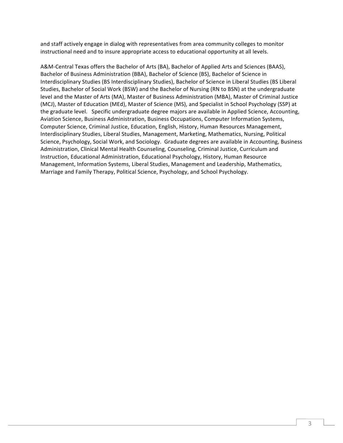and staff actively engage in dialog with representatives from area community colleges to monitor instructional need and to insure appropriate access to educational opportunity at all levels.

A&M-Central Texas offers the Bachelor of Arts (BA), Bachelor of Applied Arts and Sciences (BAAS), Bachelor of Business Administration (BBA), Bachelor of Science (BS), Bachelor of Science in Interdisciplinary Studies (BS Interdisciplinary Studies), Bachelor of Science in Liberal Studies (BS Liberal Studies, Bachelor of Social Work (BSW) and the Bachelor of Nursing (RN to BSN) at the undergraduate level and the Master of Arts (MA), Master of Business Administration (MBA), Master of Criminal Justice (MCJ), Master of Education (MEd), Master of Science (MS), and Specialist in School Psychology (SSP) at the graduate level. Specific undergraduate degree majors are available in Applied Science, Accounting, Aviation Science, Business Administration, Business Occupations, Computer Information Systems, Computer Science, Criminal Justice, Education, English, History, Human Resources Management, Interdisciplinary Studies, Liberal Studies, Management, Marketing, Mathematics, Nursing, Political Science, Psychology, Social Work, and Sociology. Graduate degrees are available in Accounting, Business Administration, Clinical Mental Health Counseling, Counseling, Criminal Justice, Curriculum and Instruction, Educational Administration, Educational Psychology, History, Human Resource Management, Information Systems, Liberal Studies, Management and Leadership, Mathematics, Marriage and Family Therapy, Political Science, Psychology, and School Psychology.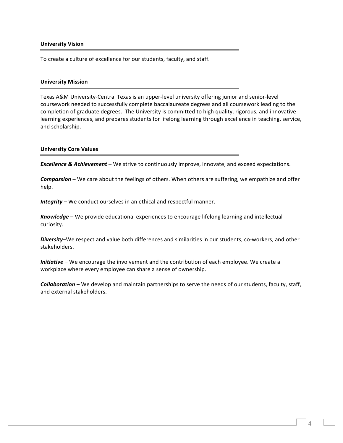#### **University Vision**

To create a culture of excellence for our students, faculty, and staff.

#### **University Mission**

Texas A&M University-Central Texas is an upper-level university offering junior and senior-level coursework needed to successfully complete baccalaureate degrees and all coursework leading to the completion of graduate degrees. The University is committed to high quality, rigorous, and innovative learning experiences, and prepares students for lifelong learning through excellence in teaching, service, and scholarship.

#### **University Core Values**

**Excellence & Achievement** – We strive to continuously improve, innovate, and exceed expectations.

**Compassion** – We care about the feelings of others. When others are suffering, we empathize and offer help.

*Integrity* – We conduct ourselves in an ethical and respectful manner.

**Knowledge** – We provide educational experiences to encourage lifelong learning and intellectual curiosity.

Diversity–We respect and value both differences and similarities in our students, co-workers, and other stakeholders.

*Initiative* – We encourage the involvement and the contribution of each employee. We create a workplace where every employee can share a sense of ownership.

**Collaboration** – We develop and maintain partnerships to serve the needs of our students, faculty, staff, and external stakeholders.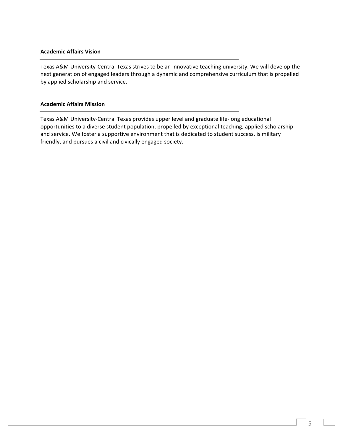#### **Academic Affairs Vision**

Texas A&M University-Central Texas strives to be an innovative teaching university. We will develop the next generation of engaged leaders through a dynamic and comprehensive curriculum that is propelled by applied scholarship and service.

#### **Academic Affairs Mission**

Texas A&M University-Central Texas provides upper level and graduate life-long educational opportunities to a diverse student population, propelled by exceptional teaching, applied scholarship and service. We foster a supportive environment that is dedicated to student success, is military friendly, and pursues a civil and civically engaged society.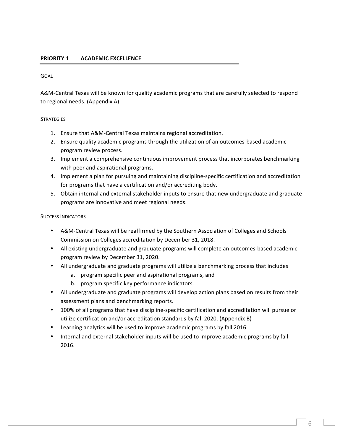#### **PRIORITY 1 ACADEMIC EXCELLENCE**

#### GOAL

A&M-Central Texas will be known for quality academic programs that are carefully selected to respond to regional needs. (Appendix A)

#### **STRATEGIES**

- 1. Ensure that A&M-Central Texas maintains regional accreditation.
- 2. Ensure quality academic programs through the utilization of an outcomes-based academic program review process.
- 3. Implement a comprehensive continuous improvement process that incorporates benchmarking with peer and aspirational programs.
- 4. Implement a plan for pursuing and maintaining discipline-specific certification and accreditation for programs that have a certification and/or accrediting body.
- 5. Obtain internal and external stakeholder inputs to ensure that new undergraduate and graduate programs are innovative and meet regional needs.

#### SUCCESS INDICATORS

- A&M-Central Texas will be reaffirmed by the Southern Association of Colleges and Schools Commission on Colleges accreditation by December 31, 2018.
- All existing undergraduate and graduate programs will complete an outcomes-based academic program review by December 31, 2020.
- All undergraduate and graduate programs will utilize a benchmarking process that includes
	- a. program specific peer and aspirational programs, and
	- b. program specific key performance indicators.
- All undergraduate and graduate programs will develop action plans based on results from their assessment plans and benchmarking reports.
- 100% of all programs that have discipline-specific certification and accreditation will pursue or utilize certification and/or accreditation standards by fall 2020. (Appendix B)
- Learning analytics will be used to improve academic programs by fall 2016.
- Internal and external stakeholder inputs will be used to improve academic programs by fall 2016.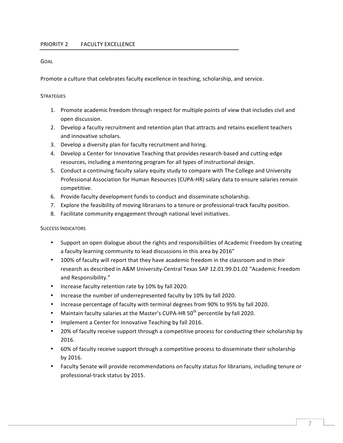Promote a culture that celebrates faculty excellence in teaching, scholarship, and service.

#### **STRATEGIES**

- 1. Promote academic freedom through respect for multiple points of view that includes civil and open discussion.
- 2. Develop a faculty recruitment and retention plan that attracts and retains excellent teachers and innovative scholars.
- 3. Develop a diversity plan for faculty recruitment and hiring.
- 4. Develop a Center for Innovative Teaching that provides research-based and cutting-edge resources, including a mentoring program for all types of instructional design.
- 5. Conduct a continuing faculty salary equity study to compare with The College and University Professional Association for Human Resources (CUPA-HR) salary data to ensure salaries remain competitive.
- 6. Provide faculty development funds to conduct and disseminate scholarship.
- 7. Explore the feasibility of moving librarians to a tenure or professional-track faculty position.
- 8. Facilitate community engagement through national level initiatives.

#### SUCCESS INDICATORS

- Support an open dialogue about the rights and responsibilities of Academic Freedom by creating a faculty learning community to lead discussions in this area by 2016"
- 100% of faculty will report that they have academic freedom in the classroom and in their research as described in A&M University-Central Texas SAP 12.01.99.D1.02 "Academic Freedom and Responsibility."
- Increase faculty retention rate by 10% by fall 2020.
- Increase the number of underrepresented faculty by 10% by fall 2020.
- Increase percentage of faculty with terminal degrees from 90% to 95% by fall 2020.
- Maintain faculty salaries at the Master's CUPA-HR 50<sup>th</sup> percentile by fall 2020.
- Implement a Center for Innovative Teaching by fall 2016.
- 20% of faculty receive support through a competitive process for conducting their scholarship by 2016.
- 60% of faculty receive support through a competitive process to disseminate their scholarship by 2016.
- Faculty Senate will provide recommendations on faculty status for librarians, including tenure or professional-track status by 2015.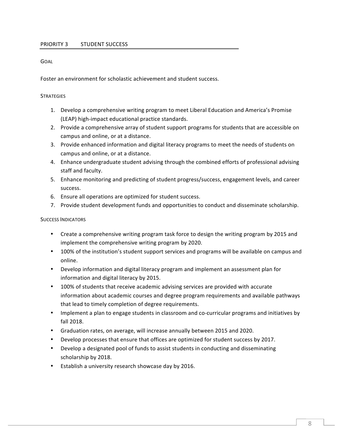Foster an environment for scholastic achievement and student success.

#### **STRATEGIES**

- 1. Develop a comprehensive writing program to meet Liberal Education and America's Promise (LEAP) high-impact educational practice standards.
- 2. Provide a comprehensive array of student support programs for students that are accessible on campus and online, or at a distance.
- 3. Provide enhanced information and digital literacy programs to meet the needs of students on campus and online, or at a distance.
- 4. Enhance undergraduate student advising through the combined efforts of professional advising staff and faculty.
- 5. Enhance monitoring and predicting of student progress/success, engagement levels, and career success.
- 6. Ensure all operations are optimized for student success.
- 7. Provide student development funds and opportunities to conduct and disseminate scholarship.

#### SUCCESS INDICATORS

- Create a comprehensive writing program task force to design the writing program by 2015 and implement the comprehensive writing program by 2020.
- 100% of the institution's student support services and programs will be available on campus and online.
- Develop information and digital literacy program and implement an assessment plan for information and digital literacy by 2015.
- 100% of students that receive academic advising services are provided with accurate information about academic courses and degree program requirements and available pathways that lead to timely completion of degree requirements.
- Implement a plan to engage students in classroom and co-curricular programs and initiatives by fall 2018.
- Graduation rates, on average, will increase annually between 2015 and 2020.
- Develop processes that ensure that offices are optimized for student success by 2017.
- Develop a designated pool of funds to assist students in conducting and disseminating scholarship by 2018.
- Establish a university research showcase day by 2016.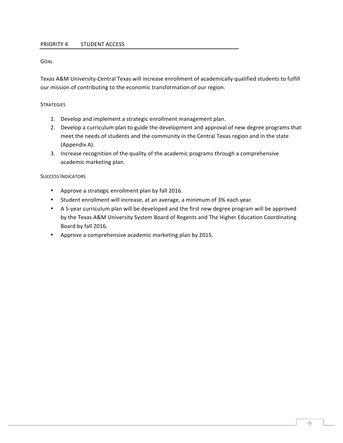Texas A&M University-Central Texas will increase enrollment of academically qualified students to fulfill our mission of contributing to the economic transformation of our region.

#### **STRATEGIES**

- 1. Develop and implement a strategic enrollment management plan.
- 2. Develop a curriculum plan to guide the development and approval of new degree programs that meet the needs of students and the community in the Central Texas region and in the state (Appendix A).
- 3. Increase recognition of the quality of the academic programs through a comprehensive academic marketing plan.

#### SUCCESS INDICATORS

- Approve a strategic enrollment plan by fall 2016.
- Student enrollment will increase, at an average, a minimum of 3% each year.
- A 5-year curriculum plan will be developed and the first new degree program will be approved by the Texas A&M University System Board of Regents and The Higher Education Coordinating Board by fall 2016.
- Approve a comprehensive academic marketing plan by 2015.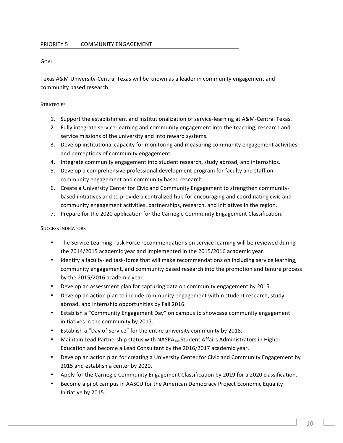Texas A&M University-Central Texas will be known as a leader in community engagement and community based research.

#### **STRATEGIES**

- 1. Support the establishment and institutionalization of service-learning at A&M-Central Texas.
- 2. Fully integrate service-learning and community engagement into the teaching, research and service missions of the university and into reward systems.
- 3. Develop institutional capacity for monitoring and measuring community engagement activities and perceptions of community engagement.
- 4. Integrate community engagement into student research, study abroad, and internships.
- 5. Develop a comprehensive professional development program for faculty and staff on community engagement and community based research.
- 6. Create a University Center for Civic and Community Engagement to strengthen communitybased initiatives and to provide a centralized hub for encouraging and coordinating civic and community engagement activities, partnerships, research, and initiatives in the region.
- 7. Prepare for the 2020 application for the Carnegie Community Engagement Classification.

#### SUCCESS INDICATORS

- The Service Learning Task Force recommendations on service learning will be reviewed during the 2014/2015 academic year and implemented in the 2015/2016 academic year.
- Identify a faculty-led task-force that will make recommendations on including service learning, community engagement, and community based research into the promotion and tenure process by the  $2015/2016$  academic year.
- Develop an assessment plan for capturing data on community engagement by 2015.
- Develop an action plan to include community engagement within student research, study abroad, and internship opportunities by Fall 2016.
- Establish a "Community Engagement Day" on campus to showcase community engagement initiatives in the community by 2017.
- Establish a "Day of Service" for the entire university community by 2018.
- Maintain Lead Partnership status with  $NASPA<sub>TM</sub>$  Student Affairs Administrators in Higher Education and become a Lead Consultant by the 2016/2017 academic year.
- Develop an action plan for creating a University Center for Civic and Community Engagement by 2015 and establish a center by 2020.
- Apply for the Carnegie Community Engagement Classification by 2019 for a 2020 classification.
- Become a pilot campus in AASCU for the American Democracy Project Economic Equality Initiative by 2015.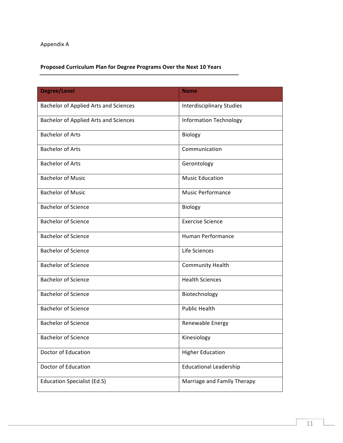## Appendix A

## **Proposed Curriculum Plan for Degree Programs Over the Next 10 Years**

| <b>Degree/Level</b>                          | <b>Name</b>                      |  |
|----------------------------------------------|----------------------------------|--|
| <b>Bachelor of Applied Arts and Sciences</b> | <b>Interdisciplinary Studies</b> |  |
| <b>Bachelor of Applied Arts and Sciences</b> | <b>Information Technology</b>    |  |
| <b>Bachelor of Arts</b>                      | Biology                          |  |
| <b>Bachelor of Arts</b>                      | Communication                    |  |
| <b>Bachelor of Arts</b>                      | Gerontology                      |  |
| <b>Bachelor of Music</b>                     | <b>Music Education</b>           |  |
| <b>Bachelor of Music</b>                     | <b>Music Performance</b>         |  |
| <b>Bachelor of Science</b>                   | Biology                          |  |
| <b>Bachelor of Science</b>                   | <b>Exercise Science</b>          |  |
| <b>Bachelor of Science</b>                   | <b>Human Performance</b>         |  |
| <b>Bachelor of Science</b>                   | Life Sciences                    |  |
| <b>Bachelor of Science</b>                   | <b>Community Health</b>          |  |
| <b>Bachelor of Science</b>                   | <b>Health Sciences</b>           |  |
| <b>Bachelor of Science</b>                   | Biotechnology                    |  |
| <b>Bachelor of Science</b>                   | <b>Public Health</b>             |  |
| <b>Bachelor of Science</b>                   | Renewable Energy                 |  |
| <b>Bachelor of Science</b>                   | Kinesiology                      |  |
| Doctor of Education                          | <b>Higher Education</b>          |  |
| Doctor of Education                          | <b>Educational Leadership</b>    |  |
| <b>Education Specialist (Ed.S)</b>           | Marriage and Family Therapy      |  |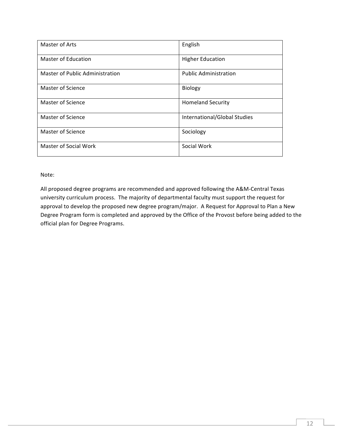| Master of Arts                  | English                      |  |
|---------------------------------|------------------------------|--|
| <b>Master of Education</b>      | <b>Higher Education</b>      |  |
| Master of Public Administration | <b>Public Administration</b> |  |
| Master of Science               | Biology                      |  |
| Master of Science               | <b>Homeland Security</b>     |  |
| <b>Master of Science</b>        | International/Global Studies |  |
| Master of Science               | Sociology                    |  |
| <b>Master of Social Work</b>    | Social Work                  |  |

Note: 

All proposed degree programs are recommended and approved following the A&M-Central Texas university curriculum process. The majority of departmental faculty must support the request for approval to develop the proposed new degree program/major. A Request for Approval to Plan a New Degree Program form is completed and approved by the Office of the Provost before being added to the official plan for Degree Programs.